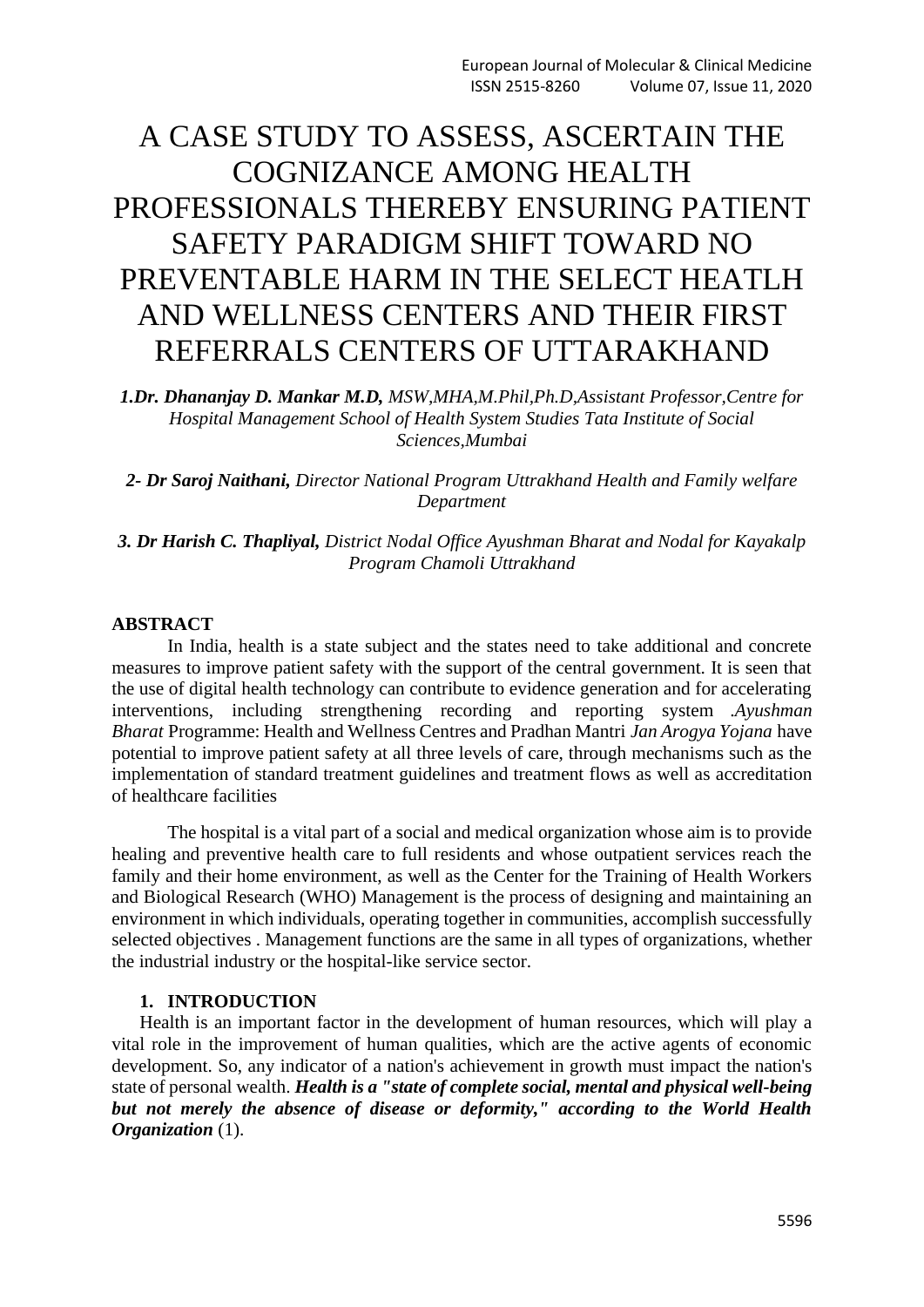# A CASE STUDY TO ASSESS, ASCERTAIN THE COGNIZANCE AMONG HEALTH PROFESSIONALS THEREBY ENSURING PATIENT SAFETY PARADIGM SHIFT TOWARD NO PREVENTABLE HARM IN THE SELECT HEATLH AND WELLNESS CENTERS AND THEIR FIRST REFERRALS CENTERS OF UTTARAKHAND

*1.Dr. Dhananjay D. Mankar M.D, MSW,MHA,M.Phil,Ph.D,Assistant Professor,Centre for Hospital Management School of Health System Studies Tata Institute of Social Sciences,Mumbai*

*2- Dr Saroj Naithani, Director National Program Uttrakhand Health and Family welfare Department*

*3. Dr Harish C. Thapliyal, District Nodal Office Ayushman Bharat and Nodal for Kayakalp Program Chamoli Uttrakhand*

#### **ABSTRACT**

In India, health is a state subject and the states need to take additional and concrete measures to improve patient safety with the support of the central government. It is seen that the use of digital health technology can contribute to evidence generation and for accelerating interventions, including strengthening recording and reporting system .*Ayushman Bharat* Programme: Health and Wellness Centres and Pradhan Mantri *Jan Arogya Yojana* have potential to improve patient safety at all three levels of care, through mechanisms such as the implementation of standard treatment guidelines and treatment flows as well as accreditation of healthcare facilities

The hospital is a vital part of a social and medical organization whose aim is to provide healing and preventive health care to full residents and whose outpatient services reach the family and their home environment, as well as the Center for the Training of Health Workers and Biological Research (WHO) Management is the process of designing and maintaining an environment in which individuals, operating together in communities, accomplish successfully selected objectives . Management functions are the same in all types of organizations, whether the industrial industry or the hospital-like service sector.

### **1. INTRODUCTION**

Health is an important factor in the development of human resources, which will play a vital role in the improvement of human qualities, which are the active agents of economic development. So, any indicator of a nation's achievement in growth must impact the nation's state of personal wealth. *Health is a "state of complete social, mental and physical well-being but not merely the absence of disease or deformity," according to the World Health Organization* (1).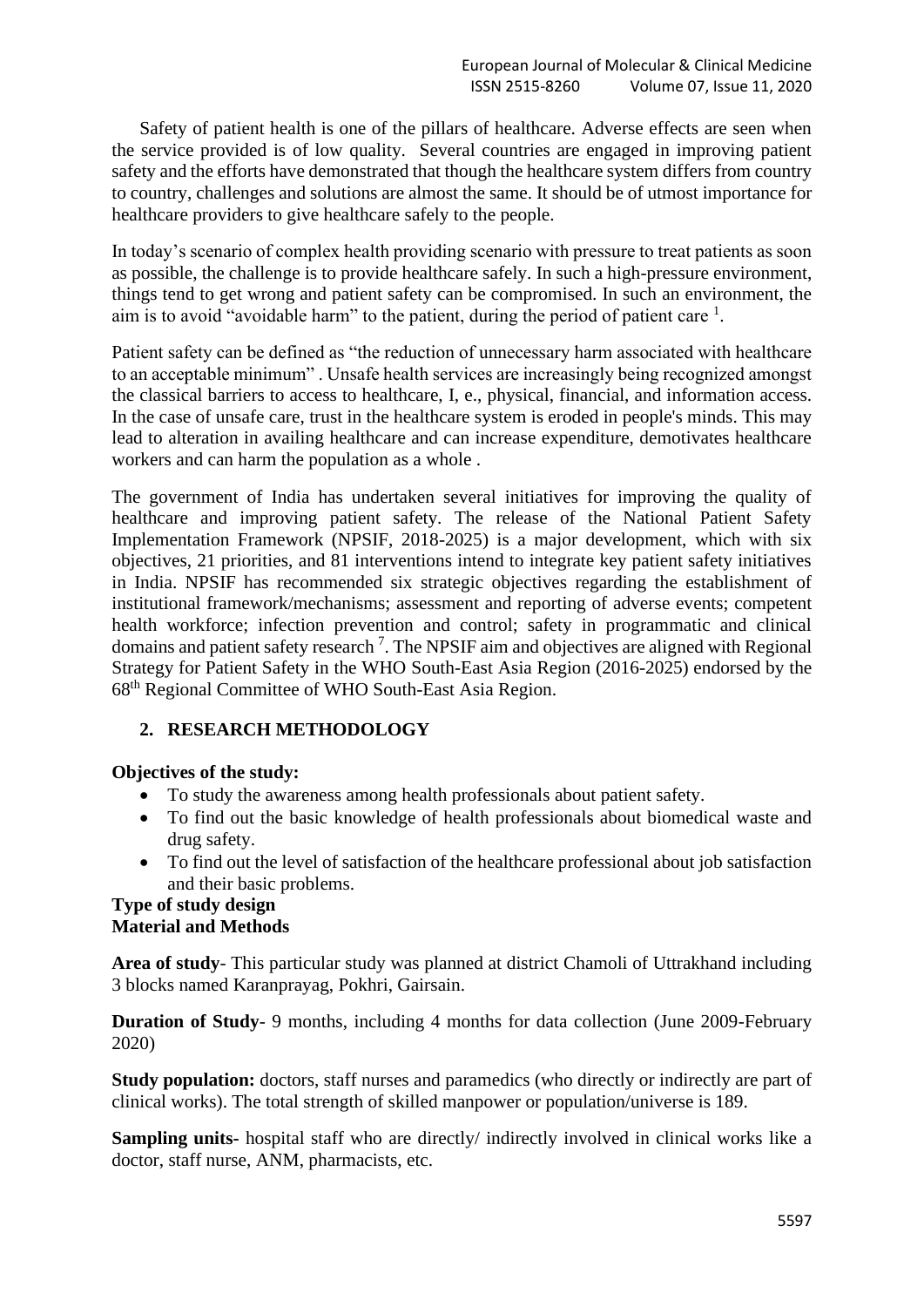Safety of patient health is one of the pillars of healthcare. Adverse effects are seen when the service provided is of low quality. Several countries are engaged in improving patient safety and the efforts have demonstrated that though the healthcare system differs from country to country, challenges and solutions are almost the same. It should be of utmost importance for healthcare providers to give healthcare safely to the people.

In today's scenario of complex health providing scenario with pressure to treat patients as soon as possible, the challenge is to provide healthcare safely. In such a high-pressure environment, things tend to get wrong and patient safety can be compromised. In such an environment, the aim is to avoid "avoidable harm" to the patient, during the period of patient care  $<sup>1</sup>$ .</sup>

Patient safety can be defined as "the reduction of unnecessary harm associated with healthcare to an acceptable minimum" . Unsafe health services are increasingly being recognized amongst the classical barriers to access to healthcare, I, e., physical, financial, and information access. In the case of unsafe care, trust in the healthcare system is eroded in people's minds. This may lead to alteration in availing healthcare and can increase expenditure, demotivates healthcare workers and can harm the population as a whole .

The government of India has undertaken several initiatives for improving the quality of healthcare and improving patient safety. The release of the National Patient Safety Implementation Framework (NPSIF, 2018-2025) is a major development, which with six objectives, 21 priorities, and 81 interventions intend to integrate key patient safety initiatives in India. NPSIF has recommended six strategic objectives regarding the establishment of institutional framework/mechanisms; assessment and reporting of adverse events; competent health workforce; infection prevention and control; safety in programmatic and clinical domains and patient safety research<sup>7</sup>. The NPSIF aim and objectives are aligned with Regional Strategy for Patient Safety in the WHO South-East Asia Region (2016-2025) endorsed by the 68th Regional Committee of WHO South-East Asia Region.

# **2. RESEARCH METHODOLOGY**

# **Objectives of the study:**

- To study the awareness among health professionals about patient safety.
- To find out the basic knowledge of health professionals about biomedical waste and drug safety.
- To find out the level of satisfaction of the healthcare professional about job satisfaction and their basic problems.

### **Type of study design Material and Methods**

**Area of study**- This particular study was planned at district Chamoli of Uttrakhand including 3 blocks named Karanprayag, Pokhri, Gairsain.

**Duration of Study**- 9 months, including 4 months for data collection (June 2009-February 2020)

**Study population:** doctors, staff nurses and paramedics (who directly or indirectly are part of clinical works). The total strength of skilled manpower or population/universe is 189.

**Sampling units-** hospital staff who are directly/ indirectly involved in clinical works like a doctor, staff nurse, ANM, pharmacists, etc.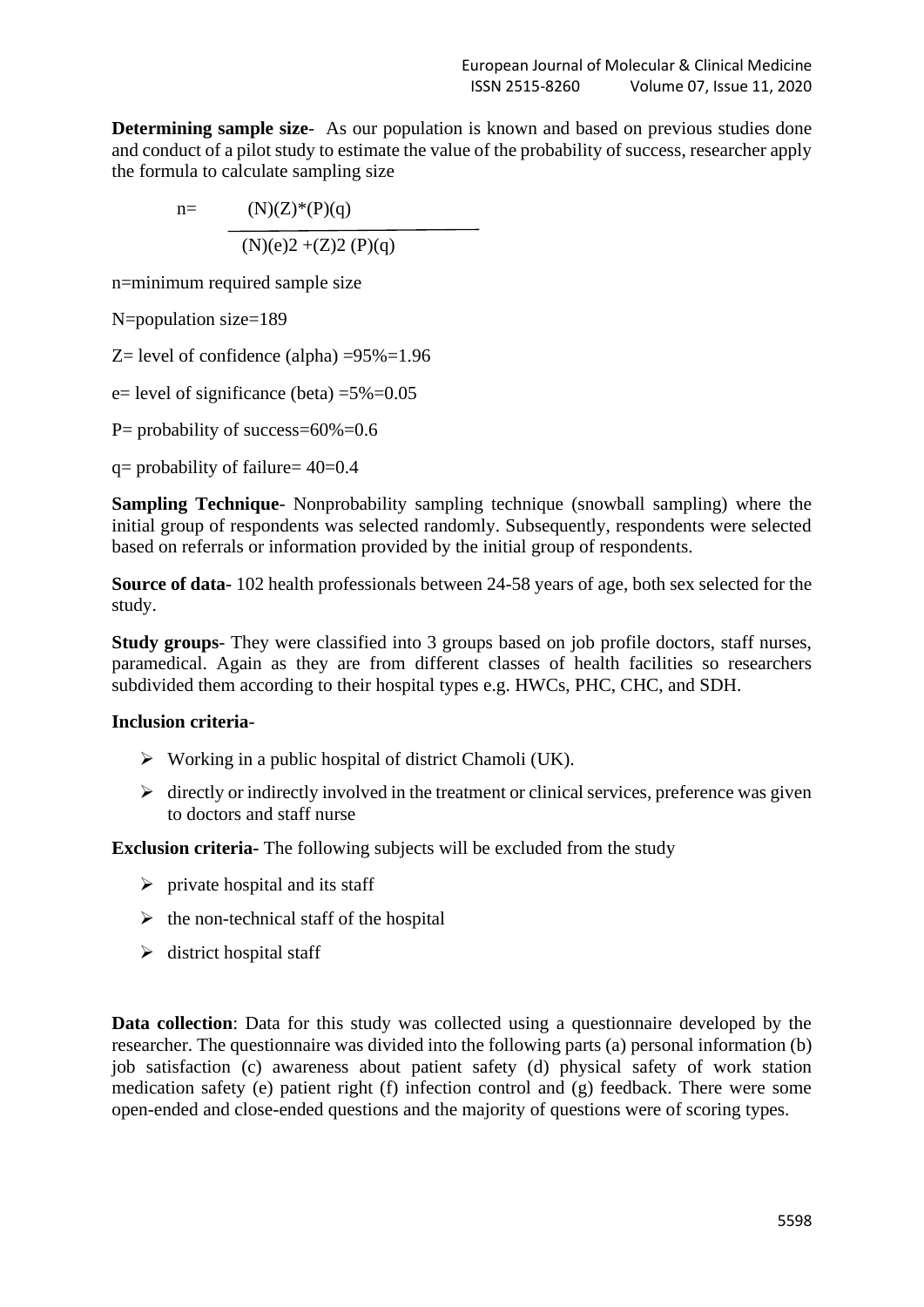**Determining sample size-** As our population is known and based on previous studies done and conduct of a pilot study to estimate the value of the probability of success, researcher apply the formula to calculate sampling size

 n= (N)(Z)\*(P)(q) (N)(e)2 +(Z)2 (P)(q)

n=minimum required sample size

N=population size=189

Z = level of confidence (alpha)  $=95\% = 1.96$ 

e = level of significance (beta)  $=5\% = 0.05$ 

P= probability of success= $60\%$ = $0.6$ 

 $q=$  probability of failure=  $40=0.4$ 

**Sampling Technique**- Nonprobability sampling technique (snowball sampling) where the initial group of respondents was selected randomly. Subsequently, respondents were selected based on referrals or information provided by the initial group of respondents.

**Source of data-** 102 health professionals between 24-58 years of age, both sex selected for the study.

**Study groups**- They were classified into 3 groups based on job profile doctors, staff nurses, paramedical. Again as they are from different classes of health facilities so researchers subdivided them according to their hospital types e.g. HWCs, PHC, CHC, and SDH.

## **Inclusion criteria**-

- $\triangleright$  Working in a public hospital of district Chamoli (UK).
- $\triangleright$  directly or indirectly involved in the treatment or clinical services, preference was given to doctors and staff nurse

**Exclusion criteria-** The following subjects will be excluded from the study

- $\triangleright$  private hospital and its staff
- $\triangleright$  the non-technical staff of the hospital
- $\triangleright$  district hospital staff

**Data collection**: Data for this study was collected using a questionnaire developed by the researcher. The questionnaire was divided into the following parts (a) personal information (b) job satisfaction (c) awareness about patient safety (d) physical safety of work station medication safety (e) patient right (f) infection control and (g) feedback. There were some open-ended and close-ended questions and the majority of questions were of scoring types.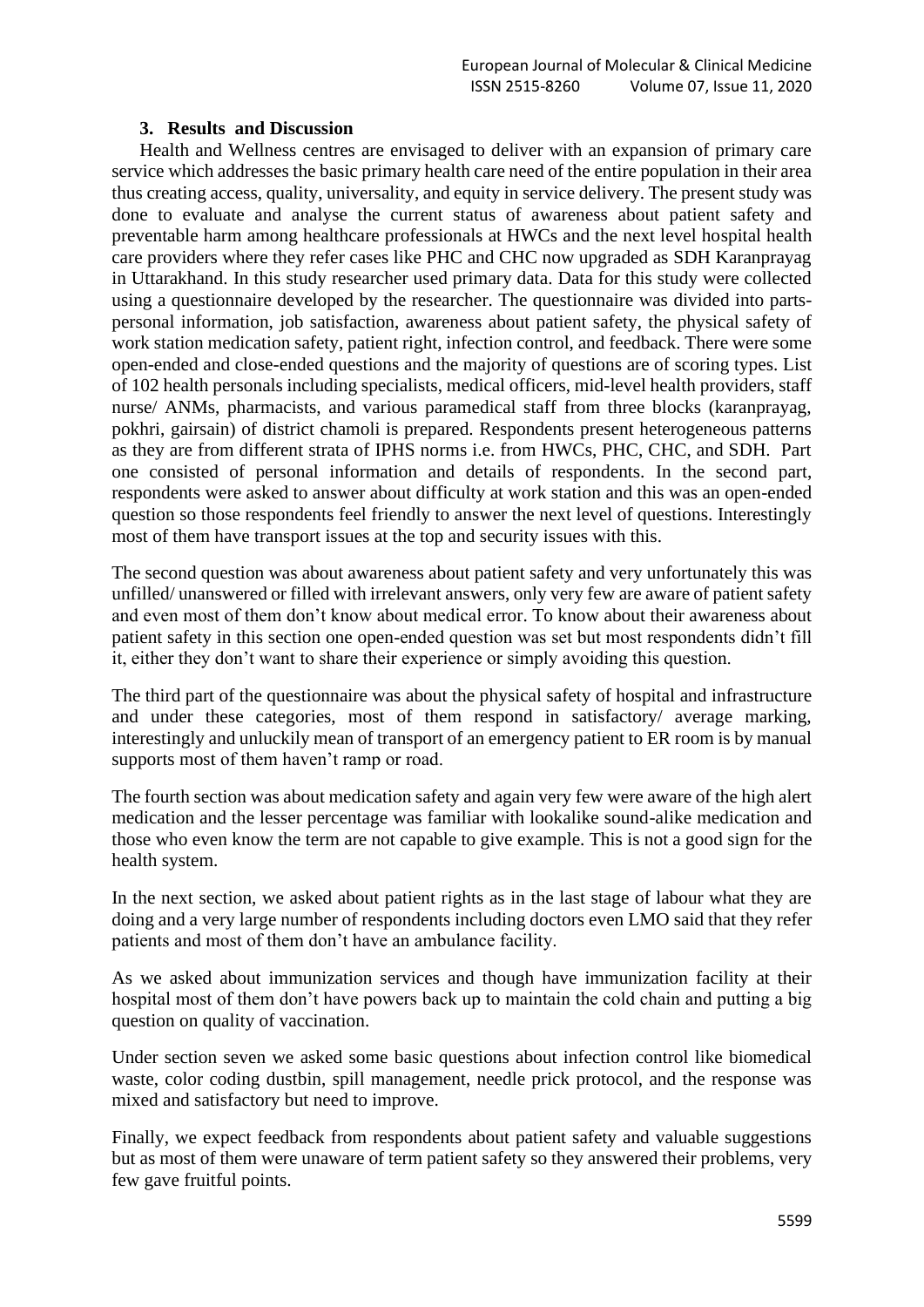### **3. Results and Discussion**

Health and Wellness centres are envisaged to deliver with an expansion of primary care service which addresses the basic primary health care need of the entire population in their area thus creating access, quality, universality, and equity in service delivery. The present study was done to evaluate and analyse the current status of awareness about patient safety and preventable harm among healthcare professionals at HWCs and the next level hospital health care providers where they refer cases like PHC and CHC now upgraded as SDH Karanprayag in Uttarakhand. In this study researcher used primary data. Data for this study were collected using a questionnaire developed by the researcher. The questionnaire was divided into partspersonal information, job satisfaction, awareness about patient safety, the physical safety of work station medication safety, patient right, infection control, and feedback. There were some open-ended and close-ended questions and the majority of questions are of scoring types. List of 102 health personals including specialists, medical officers, mid-level health providers, staff nurse/ ANMs, pharmacists, and various paramedical staff from three blocks (karanprayag, pokhri, gairsain) of district chamoli is prepared. Respondents present heterogeneous patterns as they are from different strata of IPHS norms i.e. from HWCs, PHC, CHC, and SDH. Part one consisted of personal information and details of respondents. In the second part, respondents were asked to answer about difficulty at work station and this was an open-ended question so those respondents feel friendly to answer the next level of questions. Interestingly most of them have transport issues at the top and security issues with this.

The second question was about awareness about patient safety and very unfortunately this was unfilled/ unanswered or filled with irrelevant answers, only very few are aware of patient safety and even most of them don't know about medical error. To know about their awareness about patient safety in this section one open-ended question was set but most respondents didn't fill it, either they don't want to share their experience or simply avoiding this question.

The third part of the questionnaire was about the physical safety of hospital and infrastructure and under these categories, most of them respond in satisfactory/ average marking, interestingly and unluckily mean of transport of an emergency patient to ER room is by manual supports most of them haven't ramp or road.

The fourth section was about medication safety and again very few were aware of the high alert medication and the lesser percentage was familiar with lookalike sound-alike medication and those who even know the term are not capable to give example. This is not a good sign for the health system.

In the next section, we asked about patient rights as in the last stage of labour what they are doing and a very large number of respondents including doctors even LMO said that they refer patients and most of them don't have an ambulance facility.

As we asked about immunization services and though have immunization facility at their hospital most of them don't have powers back up to maintain the cold chain and putting a big question on quality of vaccination.

Under section seven we asked some basic questions about infection control like biomedical waste, color coding dustbin, spill management, needle prick protocol, and the response was mixed and satisfactory but need to improve.

Finally, we expect feedback from respondents about patient safety and valuable suggestions but as most of them were unaware of term patient safety so they answered their problems, very few gave fruitful points.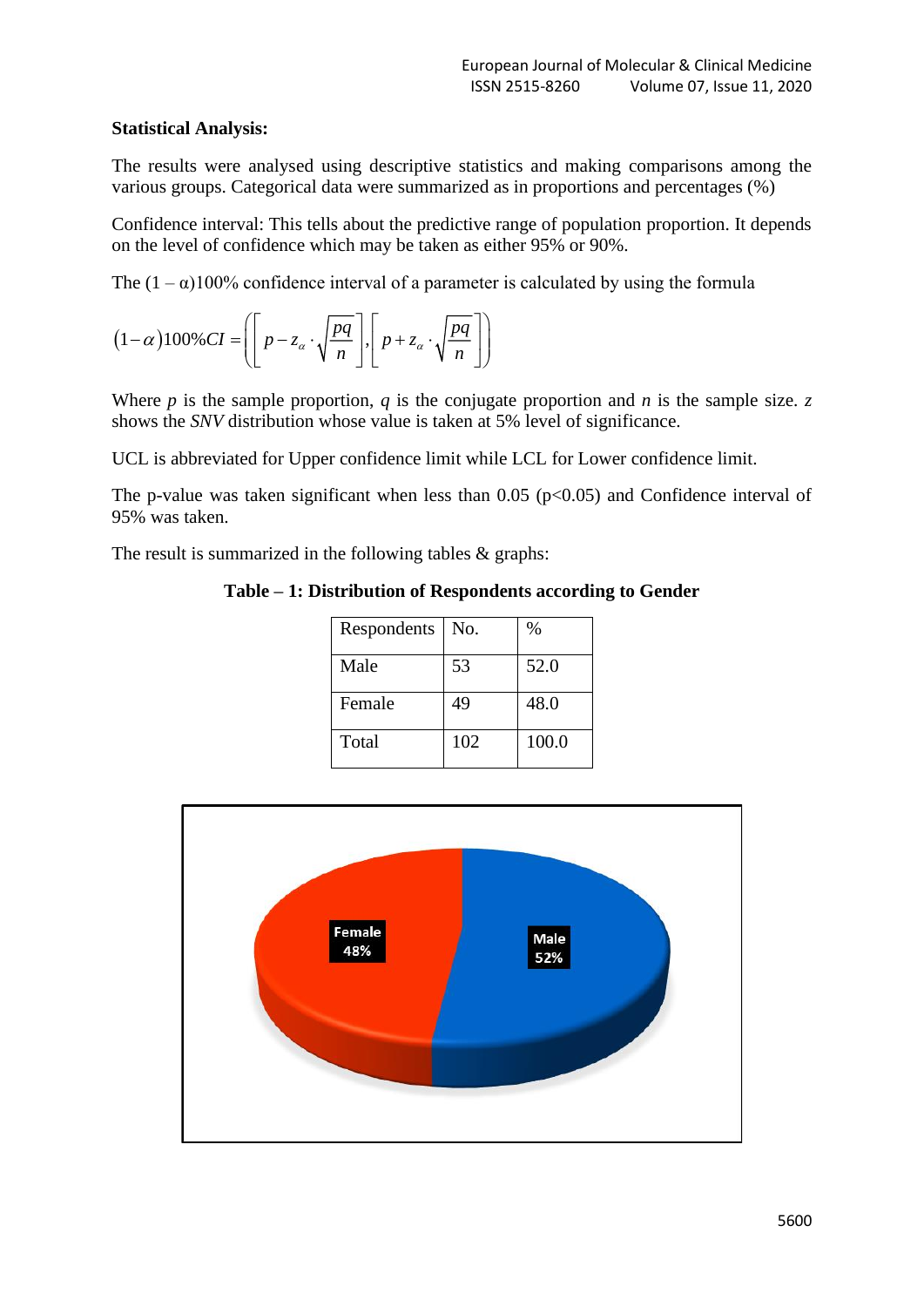## **Statistical Analysis:**

The results were analysed using descriptive statistics and making comparisons among the various groups. Categorical data were summarized as in proportions and percentages (%)

Confidence interval: This tells about the predictive range of population proportion. It depends on the level of confidence which may be taken as either 95% or 90%.

The  $(1 - \alpha)100\%$  confidence interval of a parameter is calculated by using the formula

$$
(1-\alpha)100\% CI = \left( \left[ p - z_{\alpha} \cdot \sqrt{\frac{pq}{n}} \right], \left[ p + z_{\alpha} \cdot \sqrt{\frac{pq}{n}} \right] \right)
$$

Where *p* is the sample proportion, *q* is the conjugate proportion and *n* is the sample size. *z* shows the *SNV* distribution whose value is taken at 5% level of significance.

UCL is abbreviated for Upper confidence limit while LCL for Lower confidence limit.

The p-value was taken significant when less than  $0.05$  (p $<0.05$ ) and Confidence interval of 95% was taken.

The result is summarized in the following tables & graphs:

**Table – 1: Distribution of Respondents according to Gender**

| Respondents | No. | $\%$  |
|-------------|-----|-------|
| Male        | 53  | 52.0  |
| Female      | 49  | 48.0  |
| Total       | 102 | 100.0 |

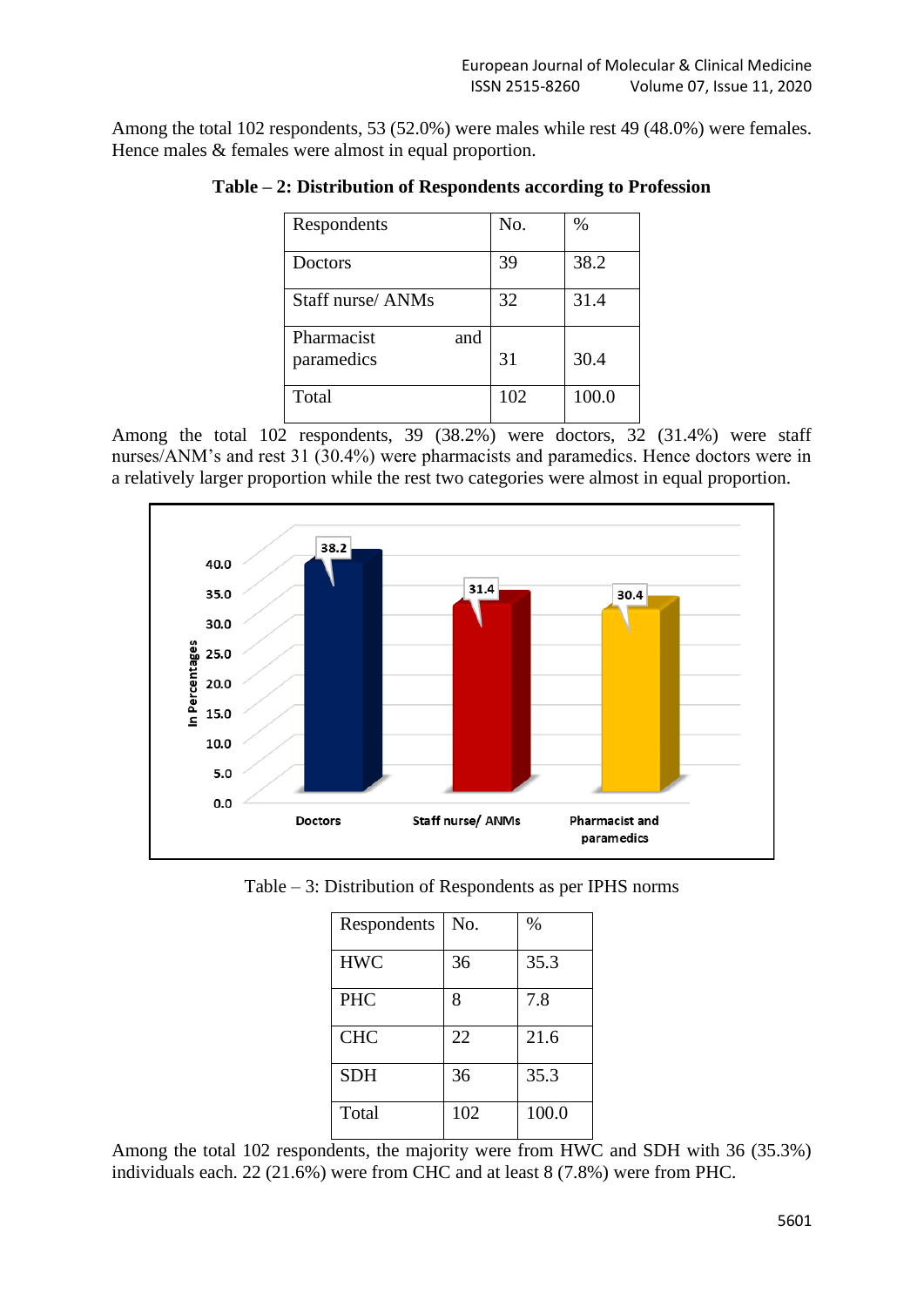Among the total 102 respondents, 53 (52.0%) were males while rest 49 (48.0%) were females. Hence males  $&$  females were almost in equal proportion.

| Respondents                     | No. | %     |
|---------------------------------|-----|-------|
| Doctors                         | 39  | 38.2  |
| Staff nurse/ ANMs               | 32  | 31.4  |
| Pharmacist<br>and<br>paramedics | 31  | 30.4  |
| Total                           | 102 | 100.0 |

**Table – 2: Distribution of Respondents according to Profession**

Among the total 102 respondents, 39 (38.2%) were doctors, 32 (31.4%) were staff nurses/ANM's and rest 31 (30.4%) were pharmacists and paramedics. Hence doctors were in a relatively larger proportion while the rest two categories were almost in equal proportion.



| Respondents | No. | %     |
|-------------|-----|-------|
| <b>HWC</b>  | 36  | 35.3  |
| <b>PHC</b>  | 8   | 7.8   |
| <b>CHC</b>  | 22  | 21.6  |
| <b>SDH</b>  | 36  | 35.3  |
| Total       | 102 | 100.0 |

Among the total 102 respondents, the majority were from HWC and SDH with 36 (35.3%) individuals each. 22 (21.6%) were from CHC and at least 8 (7.8%) were from PHC.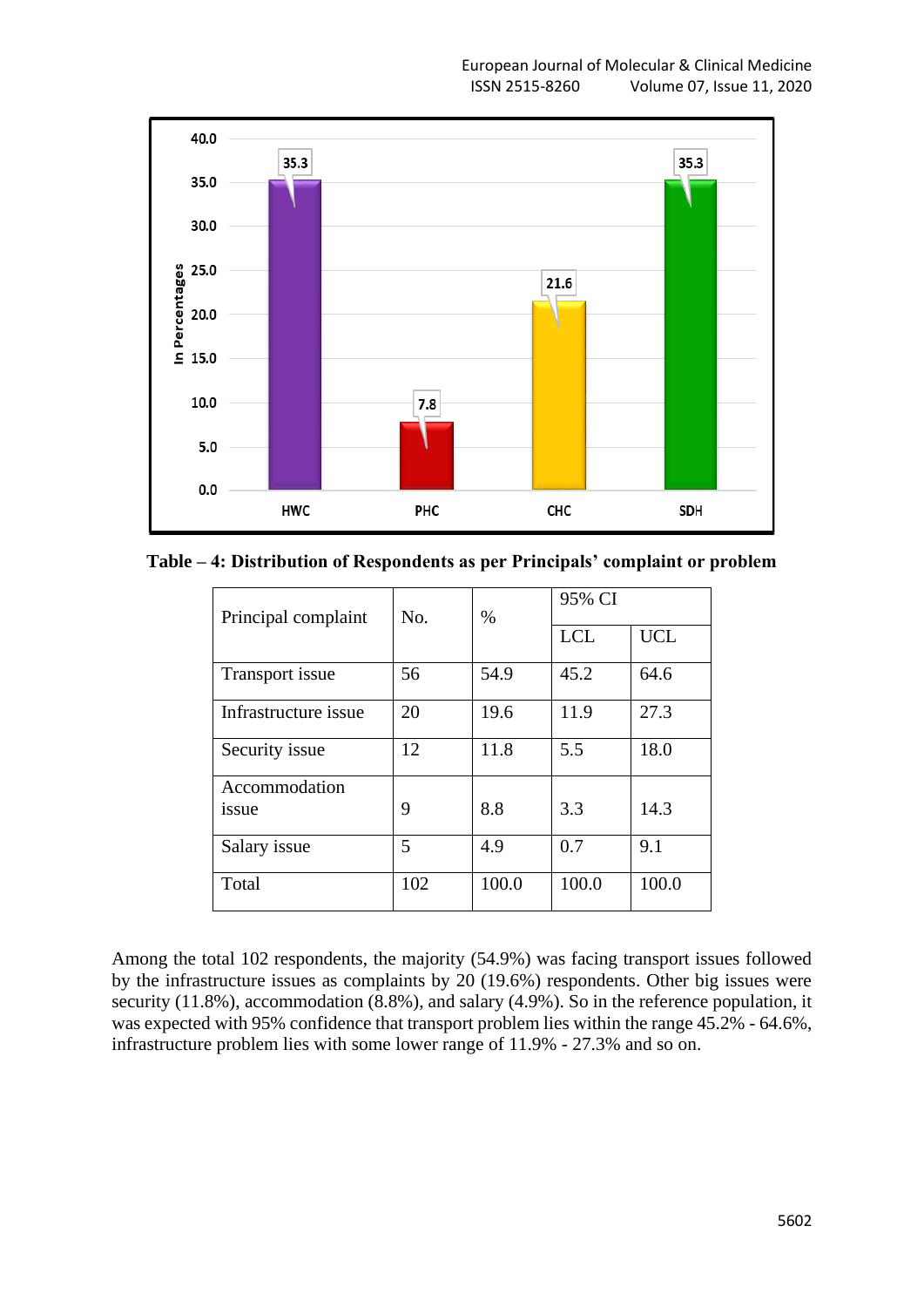

**Table – 4: Distribution of Respondents as per Principals' complaint or problem**

| Principal complaint  | No. | $\%$  | 95% CI     |            |
|----------------------|-----|-------|------------|------------|
|                      |     |       | <b>LCL</b> | <b>UCL</b> |
| Transport issue      | 56  | 54.9  | 45.2       | 64.6       |
| Infrastructure issue | 20  | 19.6  | 11.9       | 27.3       |
| Security issue       | 12  | 11.8  | 5.5        | 18.0       |
| Accommodation        |     |       |            |            |
| issue                | 9   | 8.8   | 3.3        | 14.3       |
| Salary issue         | 5   | 4.9   | 0.7        | 9.1        |
| Total                | 102 | 100.0 | 100.0      | 100.0      |

Among the total 102 respondents, the majority (54.9%) was facing transport issues followed by the infrastructure issues as complaints by 20 (19.6%) respondents. Other big issues were security (11.8%), accommodation (8.8%), and salary (4.9%). So in the reference population, it was expected with 95% confidence that transport problem lies within the range 45.2% - 64.6%, infrastructure problem lies with some lower range of 11.9% - 27.3% and so on.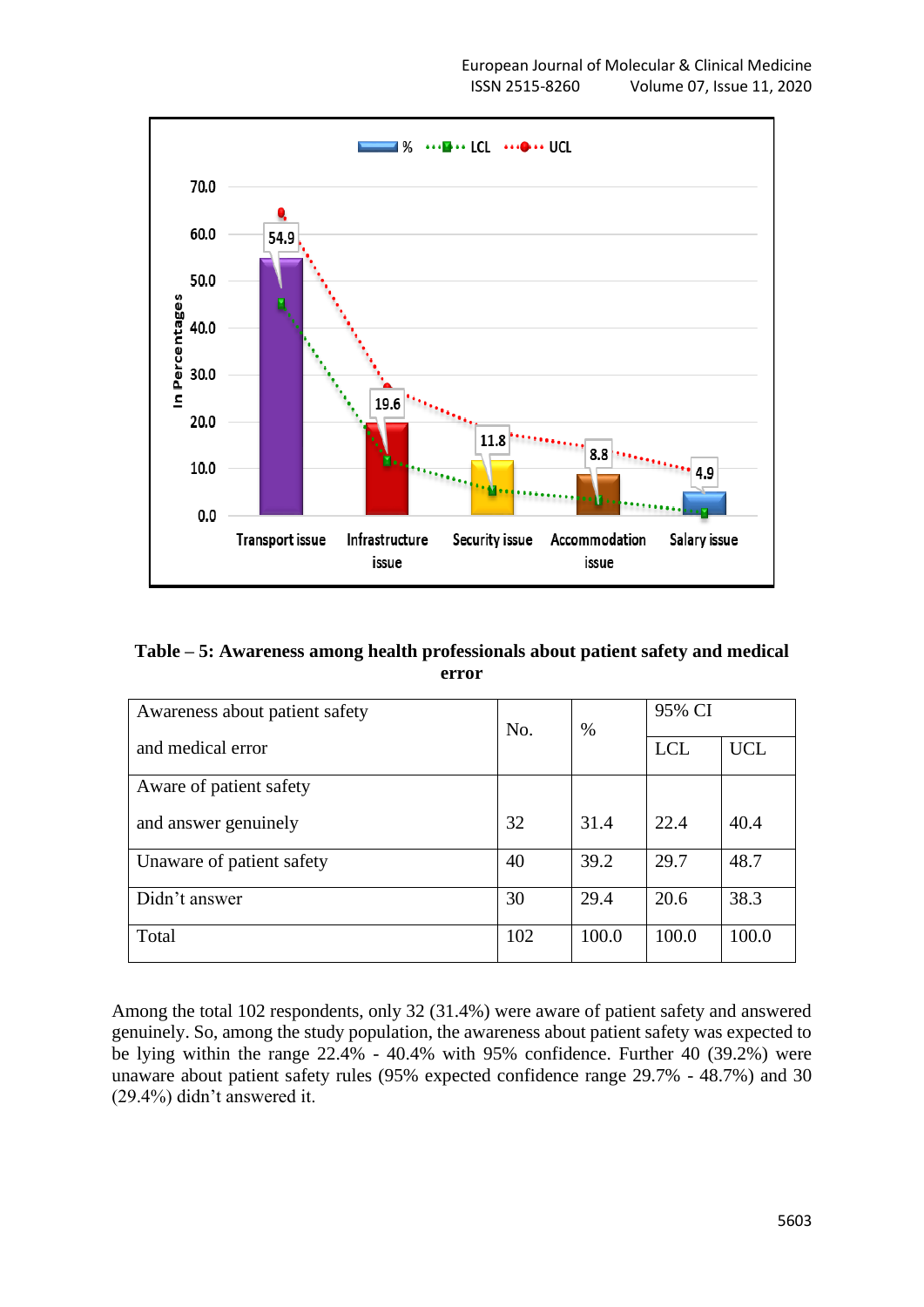

| Table – 5: Awareness among health professionals about patient safety and medical |  |
|----------------------------------------------------------------------------------|--|
| error                                                                            |  |

| Awareness about patient safety | No. | $\%$  | 95% CI     |            |
|--------------------------------|-----|-------|------------|------------|
| and medical error              |     |       | <b>LCL</b> | <b>UCL</b> |
| Aware of patient safety        |     |       |            |            |
| and answer genuinely           | 32  | 31.4  | 22.4       | 40.4       |
| Unaware of patient safety      | 40  | 39.2  | 29.7       | 48.7       |
| Didn't answer                  | 30  | 29.4  | 20.6       | 38.3       |
| Total                          | 102 | 100.0 | 100.0      | 100.0      |

Among the total 102 respondents, only 32 (31.4%) were aware of patient safety and answered genuinely. So, among the study population, the awareness about patient safety was expected to be lying within the range 22.4% - 40.4% with 95% confidence. Further 40 (39.2%) were unaware about patient safety rules (95% expected confidence range 29.7% - 48.7%) and 30 (29.4%) didn't answered it.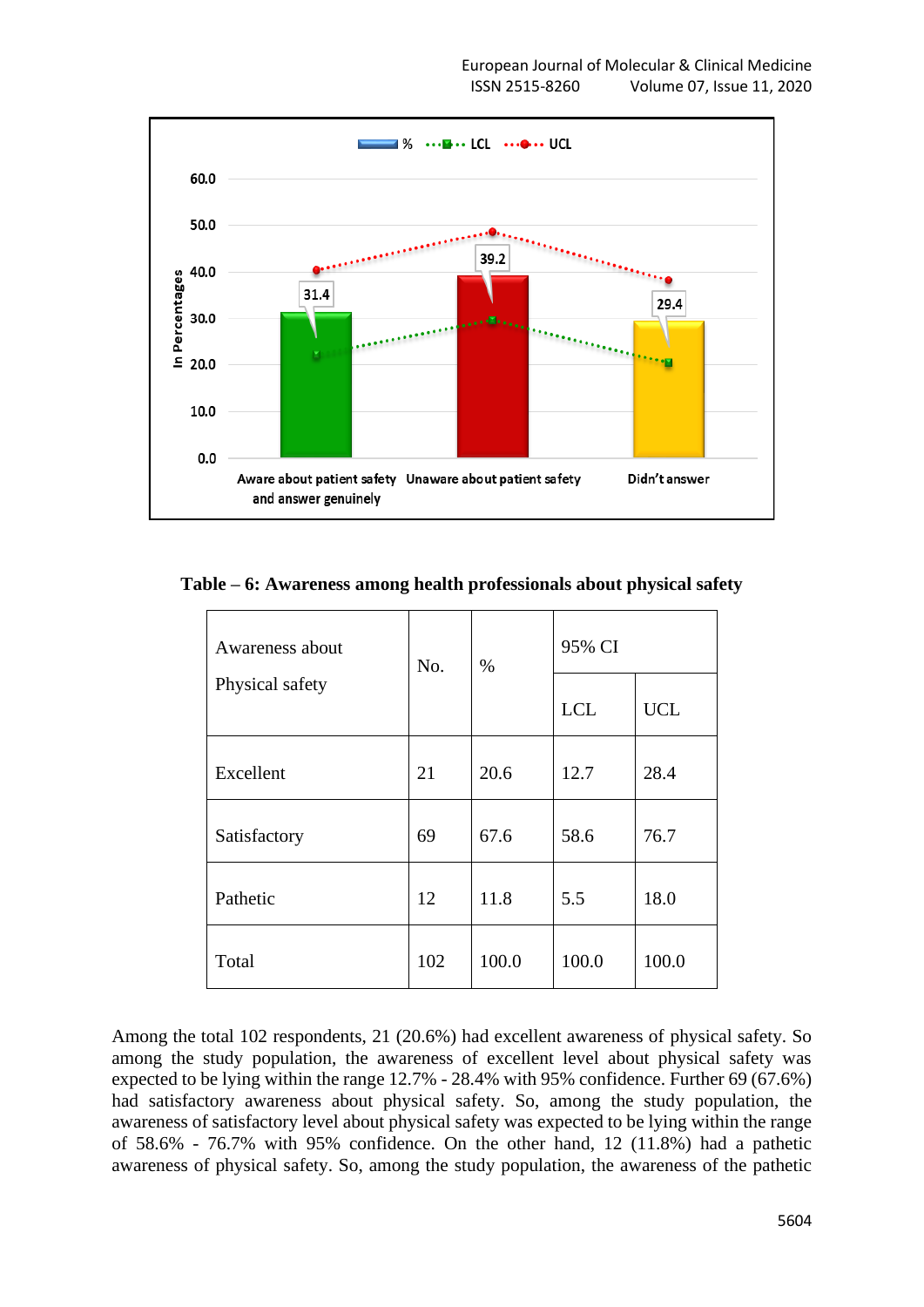

**Table – 6: Awareness among health professionals about physical safety**

| Awareness about<br>Physical safety | No. | $\%$  | 95% CI     |            |
|------------------------------------|-----|-------|------------|------------|
|                                    |     |       | <b>LCL</b> | <b>UCL</b> |
| Excellent                          | 21  | 20.6  | 12.7       | 28.4       |
| Satisfactory                       | 69  | 67.6  | 58.6       | 76.7       |
| Pathetic                           | 12  | 11.8  | 5.5        | 18.0       |
| Total                              | 102 | 100.0 | 100.0      | 100.0      |

Among the total 102 respondents, 21 (20.6%) had excellent awareness of physical safety. So among the study population, the awareness of excellent level about physical safety was expected to be lying within the range 12.7% - 28.4% with 95% confidence. Further 69 (67.6%) had satisfactory awareness about physical safety. So, among the study population, the awareness of satisfactory level about physical safety was expected to be lying within the range of 58.6% - 76.7% with 95% confidence. On the other hand, 12 (11.8%) had a pathetic awareness of physical safety. So, among the study population, the awareness of the pathetic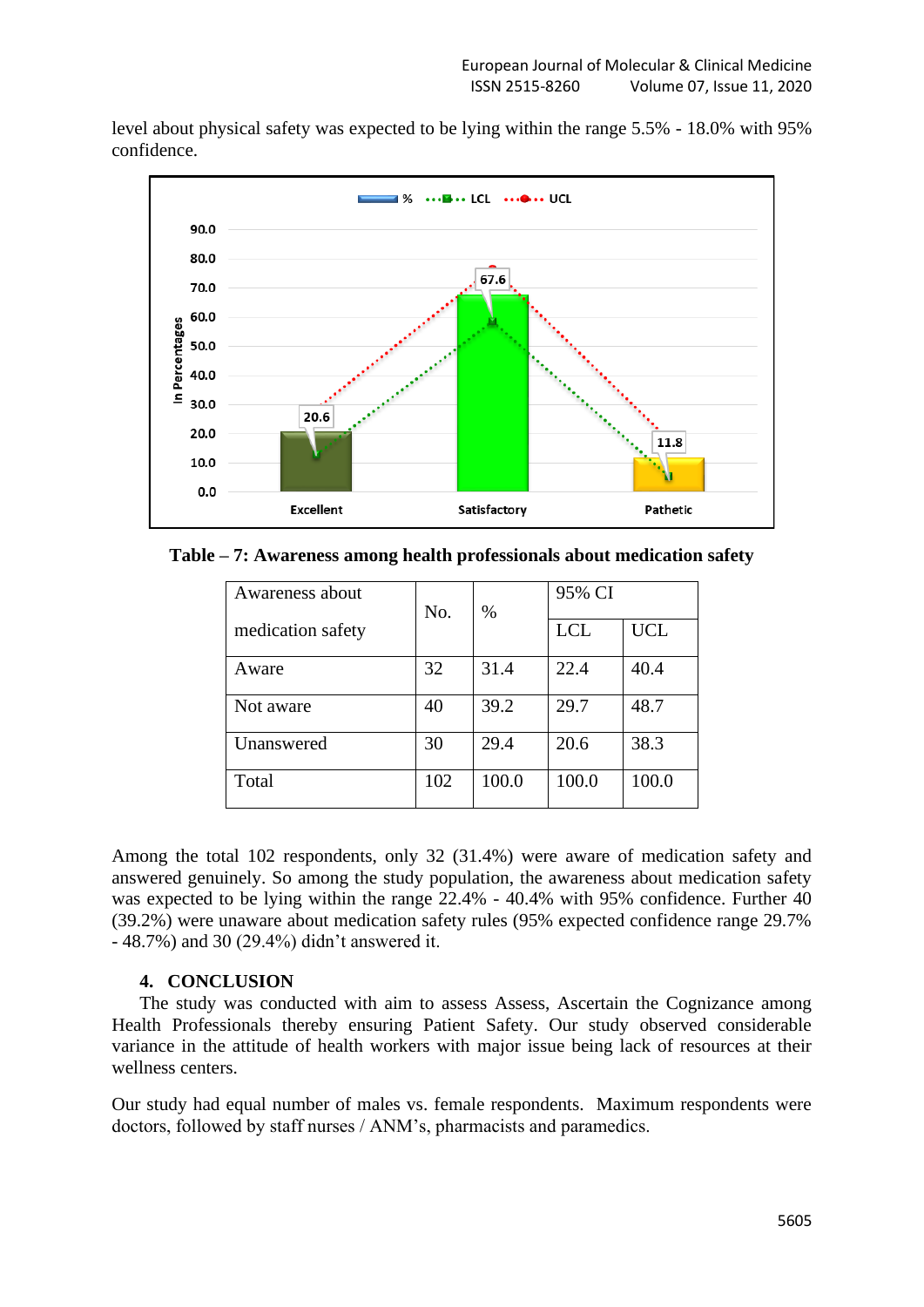level about physical safety was expected to be lying within the range 5.5% - 18.0% with 95% confidence.



**Table – 7: Awareness among health professionals about medication safety**

| Awareness about   | No. | $\%$  | 95% CI     |            |
|-------------------|-----|-------|------------|------------|
| medication safety |     |       | <b>LCL</b> | <b>UCL</b> |
| Aware             | 32  | 31.4  | 22.4       | 40.4       |
| Not aware         | 40  | 39.2  | 29.7       | 48.7       |
| Unanswered        | 30  | 29.4  | 20.6       | 38.3       |
| Total             | 102 | 100.0 | 100.0      | 100.0      |

Among the total 102 respondents, only 32 (31.4%) were aware of medication safety and answered genuinely. So among the study population, the awareness about medication safety was expected to be lying within the range 22.4% - 40.4% with 95% confidence. Further 40 (39.2%) were unaware about medication safety rules (95% expected confidence range 29.7% - 48.7%) and 30 (29.4%) didn't answered it.

## **4. CONCLUSION**

The study was conducted with aim to assess Assess, Ascertain the Cognizance among Health Professionals thereby ensuring Patient Safety. Our study observed considerable variance in the attitude of health workers with major issue being lack of resources at their wellness centers.

Our study had equal number of males vs. female respondents. Maximum respondents were doctors, followed by staff nurses / ANM's, pharmacists and paramedics.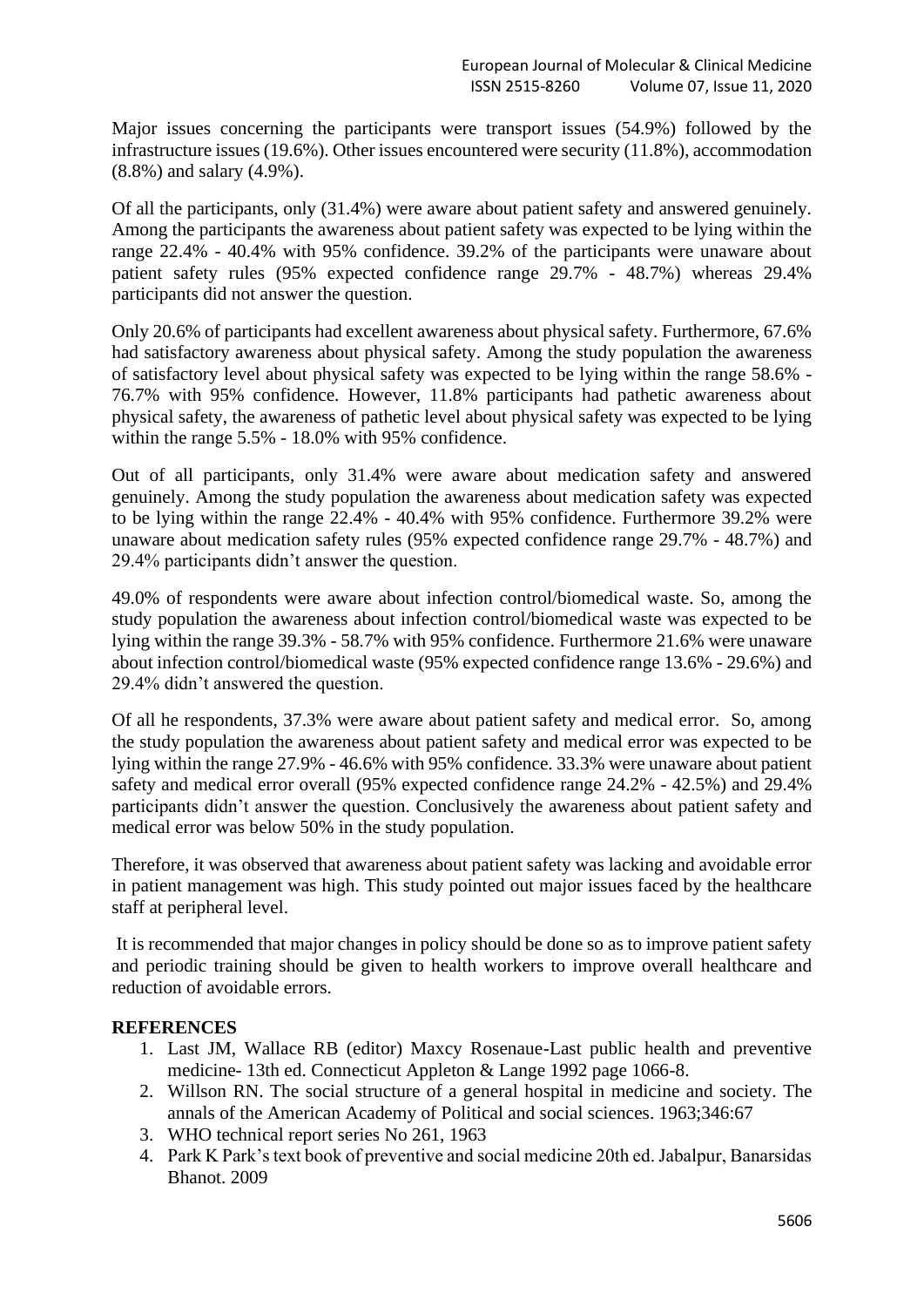Major issues concerning the participants were transport issues (54.9%) followed by the infrastructure issues (19.6%). Other issues encountered were security (11.8%), accommodation (8.8%) and salary (4.9%).

Of all the participants, only (31.4%) were aware about patient safety and answered genuinely. Among the participants the awareness about patient safety was expected to be lying within the range 22.4% - 40.4% with 95% confidence. 39.2% of the participants were unaware about patient safety rules (95% expected confidence range 29.7% - 48.7%) whereas 29.4% participants did not answer the question.

Only 20.6% of participants had excellent awareness about physical safety. Furthermore, 67.6% had satisfactory awareness about physical safety. Among the study population the awareness of satisfactory level about physical safety was expected to be lying within the range 58.6% - 76.7% with 95% confidence. However, 11.8% participants had pathetic awareness about physical safety, the awareness of pathetic level about physical safety was expected to be lying within the range 5.5% - 18.0% with 95% confidence.

Out of all participants, only 31.4% were aware about medication safety and answered genuinely. Among the study population the awareness about medication safety was expected to be lying within the range 22.4% - 40.4% with 95% confidence. Furthermore 39.2% were unaware about medication safety rules (95% expected confidence range 29.7% - 48.7%) and 29.4% participants didn't answer the question.

49.0% of respondents were aware about infection control/biomedical waste. So, among the study population the awareness about infection control/biomedical waste was expected to be lying within the range 39.3% - 58.7% with 95% confidence. Furthermore 21.6% were unaware about infection control/biomedical waste (95% expected confidence range 13.6% - 29.6%) and 29.4% didn't answered the question.

Of all he respondents, 37.3% were aware about patient safety and medical error. So, among the study population the awareness about patient safety and medical error was expected to be lying within the range 27.9% - 46.6% with 95% confidence. 33.3% were unaware about patient safety and medical error overall (95% expected confidence range 24.2% - 42.5%) and 29.4% participants didn't answer the question. Conclusively the awareness about patient safety and medical error was below 50% in the study population.

Therefore, it was observed that awareness about patient safety was lacking and avoidable error in patient management was high. This study pointed out major issues faced by the healthcare staff at peripheral level.

It is recommended that major changes in policy should be done so as to improve patient safety and periodic training should be given to health workers to improve overall healthcare and reduction of avoidable errors.

# **REFERENCES**

- 1. Last JM, Wallace RB (editor) Maxcy Rosenaue-Last public health and preventive medicine- 13th ed. Connecticut Appleton & Lange 1992 page 1066-8.
- 2. Willson RN. The social structure of a general hospital in medicine and society. The annals of the American Academy of Political and social sciences. 1963;346:67
- 3. WHO technical report series No 261, 1963
- 4. Park K Park's text book of preventive and social medicine 20th ed. Jabalpur, Banarsidas Bhanot. 2009